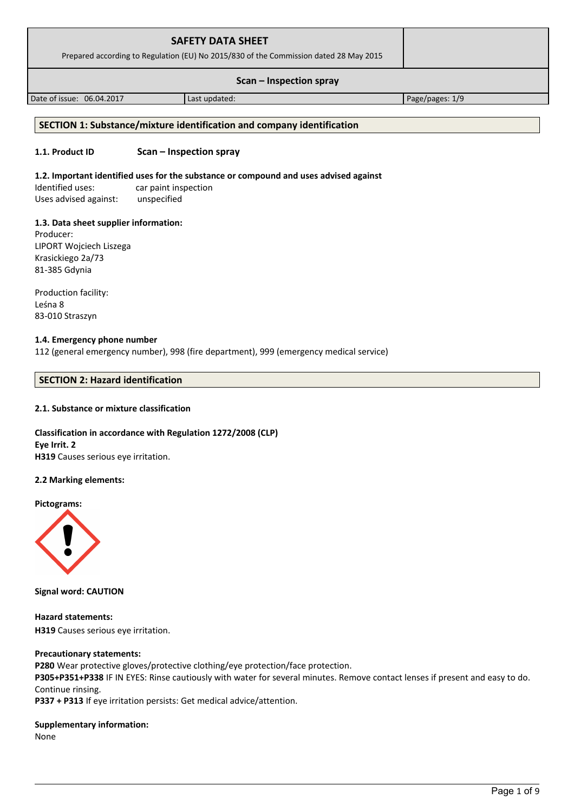| <b>SAFETY DATA SHEET</b><br>Prepared according to Regulation (EU) No 2015/830 of the Commission dated 28 May 2015 |               |                 |
|-------------------------------------------------------------------------------------------------------------------|---------------|-----------------|
| Scan – Inspection spray                                                                                           |               |                 |
| Date of issue: 06.04.2017                                                                                         | Last updated: | Page/pages: 1/9 |

# **SECTION 1: Substance/mixture identification and company identification**

#### **1.1. Product ID Scan – Inspection spray**

#### **1.2. Important identified uses for the substance or compound and uses advised against**

Identified uses: car paint inspection Uses advised against: unspecified

#### **1.3. Data sheet supplier information:**

Producer: LIPORT Wojciech Liszega Krasickiego 2a/73 81-385 Gdynia

Production facility: Leśna 8 83-010 Straszyn

#### **1.4. Emergency phone number**

112 (general emergency number), 998 (fire department), 999 (emergency medical service)

# **SECTION 2: Hazard identification**

#### **2.1. Substance or mixture classification**

## **Classification in accordance with Regulation 1272/2008 (CLP) Eye Irrit. 2 H319** Causes serious eye irritation.

#### **2.2 Marking elements:**

**Pictograms:**



**Signal word: CAUTION**

**Hazard statements: H319** Causes serious eye irritation.

#### **Precautionary statements:**

**P280** Wear protective gloves/protective clothing/eye protection/face protection.

**P305+P351+P338** IF IN EYES: Rinse cautiously with water for several minutes. Remove contact lenses if present and easy to do. Continue rinsing.

**P337 + P313** If eye irritation persists: Get medical advice/attention.

#### **Supplementary information:**

None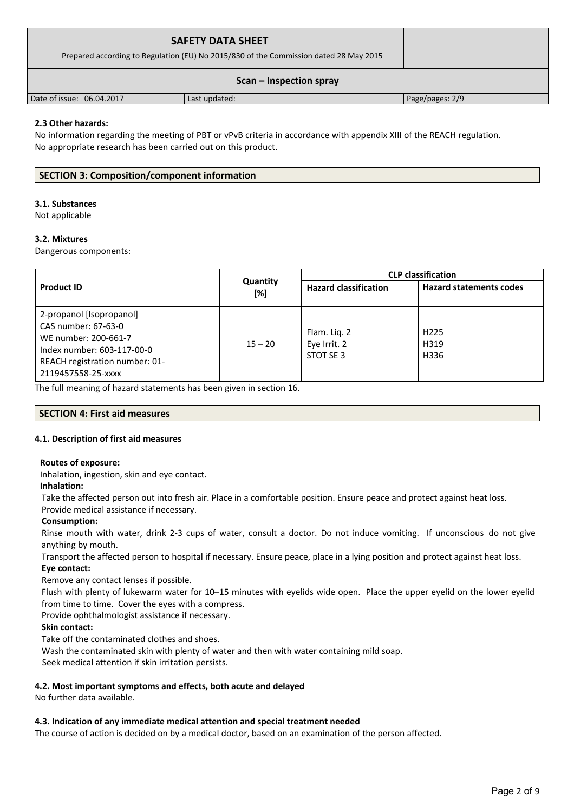| <b>SAFETY DATA SHEET</b><br>Prepared according to Regulation (EU) No 2015/830 of the Commission dated 28 May 2015 |               |                 |
|-------------------------------------------------------------------------------------------------------------------|---------------|-----------------|
| Scan – Inspection spray                                                                                           |               |                 |
| Date of issue: 06.04.2017                                                                                         | Last updated: | Page/pages: 2/9 |

## **2.3 Other hazards:**

No information regarding the meeting of PBT or vPvB criteria in accordance with appendix XIII of the REACH regulation. No appropriate research has been carried out on this product.

# **SECTION 3: Composition/component information**

## **3.1. Substances**

Not applicable

### **3.2. Mixtures**

Dangerous components:

|                                                                                                                                                               |                 | <b>CLP</b> classification                 |                                  |
|---------------------------------------------------------------------------------------------------------------------------------------------------------------|-----------------|-------------------------------------------|----------------------------------|
| <b>Product ID</b>                                                                                                                                             | Quantity<br>[%] | <b>Hazard classification</b>              | <b>Hazard statements codes</b>   |
| 2-propanol [Isopropanol]<br>CAS number: 67-63-0<br>WE number: 200-661-7<br>Index number: 603-117-00-0<br>REACH registration number: 01-<br>2119457558-25-xxxx | $15 - 20$       | Flam. Lig. 2<br>Eye Irrit. 2<br>STOT SE 3 | H <sub>225</sub><br>H319<br>H336 |

The full meaning of hazard statements has been given in section 16.

### **SECTION 4: First aid measures**

### **4.1. Description of first aid measures**

### **Routes of exposure:**

Inhalation, ingestion, skin and eye contact.

### **Inhalation:**

Take the affected person out into fresh air. Place in a comfortable position. Ensure peace and protect against heat loss.

Provide medical assistance if necessary.

### **Consumption:**

Rinse mouth with water, drink 2-3 cups of water, consult a doctor. Do not induce vomiting. If unconscious do not give anything by mouth.

Transport the affected person to hospital if necessary. Ensure peace, place in a lying position and protect against heat loss.

### **Eye contact:**

Remove any contact lenses if possible.

Flush with plenty of lukewarm water for 10–15 minutes with eyelids wide open. Place the upper eyelid on the lower eyelid from time to time. Cover the eyes with a compress.

Provide ophthalmologist assistance if necessary.

# **Skin contact:**

Take off the contaminated clothes and shoes.

Wash the contaminated skin with plenty of water and then with water containing mild soap.

Seek medical attention if skin irritation persists.

### **4.2. Most important symptoms and effects, both acute and delayed**

No further data available.

### **4.3. Indication of any immediate medical attention and special treatment needed**

The course of action is decided on by a medical doctor, based on an examination of the person affected.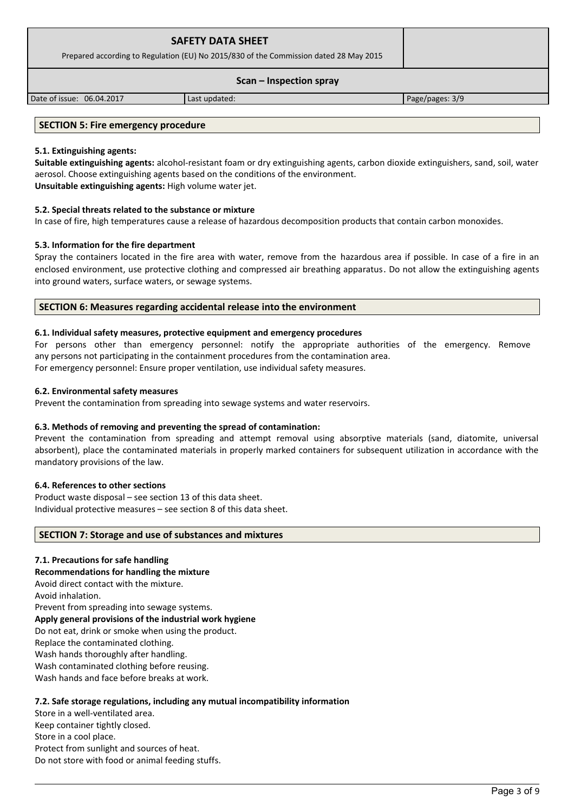| <b>SAFETY DATA SHEET</b><br>Prepared according to Regulation (EU) No 2015/830 of the Commission dated 28 May 2015 |               |                 |
|-------------------------------------------------------------------------------------------------------------------|---------------|-----------------|
| Scan – Inspection spray                                                                                           |               |                 |
| Date of issue: 06.04.2017                                                                                         | Last updated: | Page/pages: 3/9 |

## **SECTION 5: Fire emergency procedure**

#### **5.1. Extinguishing agents:**

**Suitable extinguishing agents:** alcohol-resistant foam or dry extinguishing agents, carbon dioxide extinguishers, sand, soil, water aerosol. Choose extinguishing agents based on the conditions of the environment. **Unsuitable extinguishing agents:** High volume water jet.

#### **5.2. Special threats related to the substance or mixture**

In case of fire, high temperatures cause a release of hazardous decomposition products that contain carbon monoxides.

#### **5.3. Information for the fire department**

Spray the containers located in the fire area with water, remove from the hazardous area if possible. In case of a fire in an enclosed environment, use protective clothing and compressed air breathing apparatus. Do not allow the extinguishing agents into ground waters, surface waters, or sewage systems.

#### **SECTION 6: Measures regarding accidental release into the environment**

#### **6.1. Individual safety measures, protective equipment and emergency procedures**

For persons other than emergency personnel: notify the appropriate authorities of the emergency. Remove any persons not participating in the containment procedures from the contamination area. For emergency personnel: Ensure proper ventilation, use individual safety measures.

#### **6.2. Environmental safety measures**

Prevent the contamination from spreading into sewage systems and water reservoirs.

#### **6.3. Methods of removing and preventing the spread of contamination:**

Prevent the contamination from spreading and attempt removal using absorptive materials (sand, diatomite, universal absorbent), place the contaminated materials in properly marked containers for subsequent utilization in accordance with the mandatory provisions of the law.

#### **6.4. References to other sections**

Product waste disposal – see section 13 of this data sheet. Individual protective measures – see section 8 of this data sheet.

#### **SECTION 7: Storage and use of substances and mixtures**

### **7.1. Precautions for safe handling**

**Recommendations for handling the mixture** 

Avoid direct contact with the mixture.

Avoid inhalation.

Prevent from spreading into sewage systems.

### **Apply general provisions of the industrial work hygiene**

Do not eat, drink or smoke when using the product.

Replace the contaminated clothing.

Wash hands thoroughly after handling.

Wash contaminated clothing before reusing.

Wash hands and face before breaks at work.

### **7.2. Safe storage regulations, including any mutual incompatibility information**

Store in a well-ventilated area. Keep container tightly closed. Store in a cool place. Protect from sunlight and sources of heat. Do not store with food or animal feeding stuffs.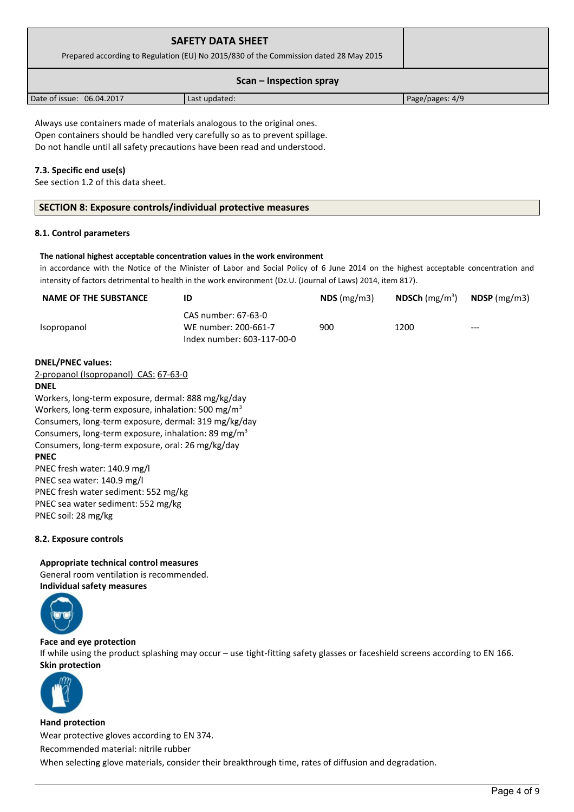| <b>SAFETY DATA SHEET</b><br>Prepared according to Regulation (EU) No 2015/830 of the Commission dated 28 May 2015 |               |                 |
|-------------------------------------------------------------------------------------------------------------------|---------------|-----------------|
| Scan – Inspection spray                                                                                           |               |                 |
| Date of issue: 06.04.2017                                                                                         | Last updated: | Page/pages: 4/9 |

Always use containers made of materials analogous to the original ones. Open containers should be handled very carefully so as to prevent spillage. Do not handle until all safety precautions have been read and understood.

## **7.3. Specific end use(s)**

See section 1.2 of this data sheet.

| SECTION 8: Exposure controls/individual protective measures |  |
|-------------------------------------------------------------|--|
|                                                             |  |

#### **8.1. Control parameters**

#### **The national highest acceptable concentration values in the work environment**

in accordance with the Notice of the Minister of Labor and Social Policy of 6 June 2014 on the highest acceptable concentration and intensity of factors detrimental to health in the work environment (Dz.U. (Journal of Laws) 2014, item 817).

| <b>NAME OF THE SUBSTANCE</b>                                   | ID                                                                        | $NDS$ (mg/m3) | <b>NDSCh</b> (mg/m <sup>3</sup> ) | $N$ DSP (mg/m3) |
|----------------------------------------------------------------|---------------------------------------------------------------------------|---------------|-----------------------------------|-----------------|
| Isopropanol                                                    | CAS number: 67-63-0<br>WE number: 200-661-7<br>Index number: 603-117-00-0 | 900           | 1200                              |                 |
| <b>DNEL/PNEC values:</b>                                       |                                                                           |               |                                   |                 |
| 2-propanol (Isopropanol) CAS: 67-63-0                          |                                                                           |               |                                   |                 |
| DNEL                                                           |                                                                           |               |                                   |                 |
| Workers, long-term exposure, dermal: 888 mg/kg/day             |                                                                           |               |                                   |                 |
| Workers, long-term exposure, inhalation: 500 mg/m <sup>3</sup> |                                                                           |               |                                   |                 |

Consumers, long-term exposure, dermal: 319 mg/kg/day Consumers, long-term exposure, inhalation: 89 mg/m<sup>3</sup> Consumers, long-term exposure, oral: 26 mg/kg/day **PNEC** PNEC fresh water: 140.9 mg/l PNEC sea water: 140.9 mg/l

PNEC fresh water sediment: 552 mg/kg PNEC sea water sediment: 552 mg/kg PNEC soil: 28 mg/kg

### **8.2. Exposure controls**

**Appropriate technical control measures** General room ventilation is recommended. **Individual safety measures** 



## **Face and eye protection**

If while using the product splashing may occur – use tight-fitting safety glasses or faceshield screens according to EN 166. **Skin protection** 



**Hand protection** Wear protective gloves according to EN 374. Recommended material: nitrile rubber When selecting glove materials, consider their breakthrough time, rates of diffusion and degradation.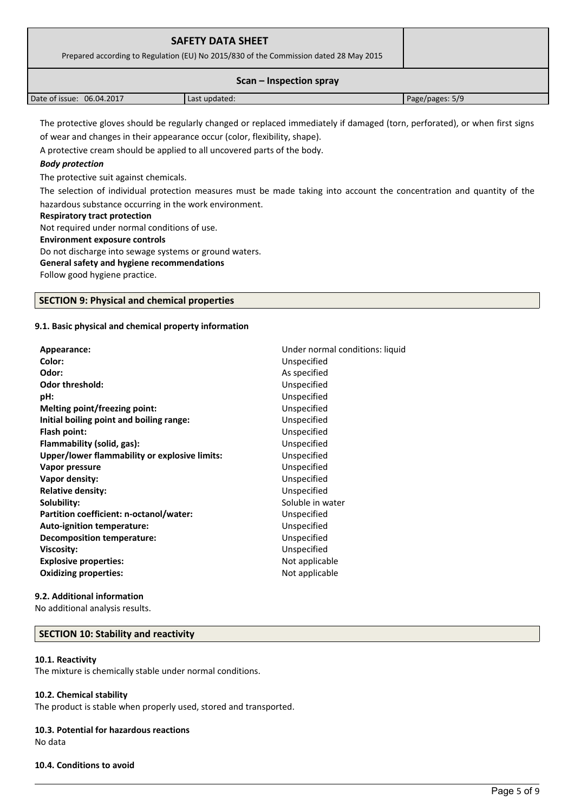| <b>SAFETY DATA SHEET</b><br>Prepared according to Regulation (EU) No 2015/830 of the Commission dated 28 May 2015 |               |                 |
|-------------------------------------------------------------------------------------------------------------------|---------------|-----------------|
| Scan – Inspection spray                                                                                           |               |                 |
| Date of issue: 06.04.2017                                                                                         | Last updated: | Page/pages: 5/9 |

The protective gloves should be regularly changed or replaced immediately if damaged (torn, perforated), or when first signs of wear and changes in their appearance occur (color, flexibility, shape).

A protective cream should be applied to all uncovered parts of the body.

## *Body protection*

The protective suit against chemicals.

The selection of individual protection measures must be made taking into account the concentration and quantity of the hazardous substance occurring in the work environment.

#### **Respiratory tract protection**

Not required under normal conditions of use.

#### **Environment exposure controls**

Do not discharge into sewage systems or ground waters.

# **General safety and hygiene recommendations**

Follow good hygiene practice.

### **SECTION 9: Physical and chemical properties**

### **9.1. Basic physical and chemical property information**

| Appearance:                                   | Under normal conditions: liquid |  |
|-----------------------------------------------|---------------------------------|--|
| Color:                                        | Unspecified                     |  |
| Odor:                                         | As specified                    |  |
| <b>Odor threshold:</b>                        | Unspecified                     |  |
| pH:                                           | Unspecified                     |  |
| <b>Melting point/freezing point:</b>          | Unspecified                     |  |
| Initial boiling point and boiling range:      | Unspecified                     |  |
| Flash point:                                  | Unspecified                     |  |
| Flammability (solid, gas):                    | Unspecified                     |  |
| Upper/lower flammability or explosive limits: | Unspecified                     |  |
| Vapor pressure                                | Unspecified                     |  |
| Vapor density:                                | Unspecified                     |  |
| <b>Relative density:</b>                      | Unspecified                     |  |
| Solubility:                                   | Soluble in water                |  |
| Partition coefficient: n-octanol/water:       | Unspecified                     |  |
| Auto-ignition temperature:                    | Unspecified                     |  |
| <b>Decomposition temperature:</b>             | Unspecified                     |  |
| <b>Viscosity:</b>                             | Unspecified                     |  |
| <b>Explosive properties:</b>                  | Not applicable                  |  |
| <b>Oxidizing properties:</b>                  | Not applicable                  |  |

### **9.2. Additional information**

No additional analysis results.

### **SECTION 10: Stability and reactivity**

#### **10.1. Reactivity**

The mixture is chemically stable under normal conditions.

### **10.2. Chemical stability**

The product is stable when properly used, stored and transported.

#### **10.3. Potential for hazardous reactions** No data

#### **10.4. Conditions to avoid**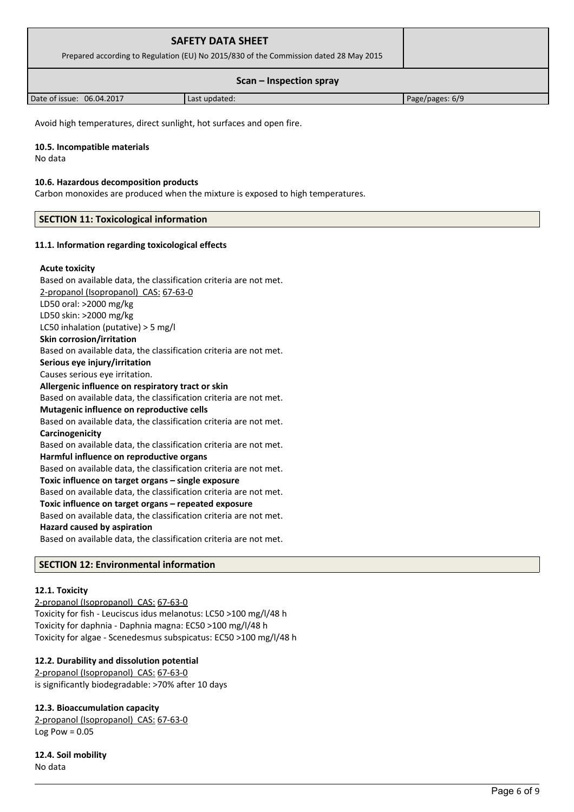| <b>SAFETY DATA SHEET</b><br>Prepared according to Regulation (EU) No 2015/830 of the Commission dated 28 May 2015 |               |                 |
|-------------------------------------------------------------------------------------------------------------------|---------------|-----------------|
| Scan – Inspection spray                                                                                           |               |                 |
| Date of issue: 06.04.2017                                                                                         | Last updated: | Page/pages: 6/9 |

Avoid high temperatures, direct sunlight, hot surfaces and open fire.

#### **10.5. Incompatible materials**

No data

#### **10.6. Hazardous decomposition products**

Carbon monoxides are produced when the mixture is exposed to high temperatures.

## **SECTION 11: Toxicological information**

#### **11.1. Information regarding toxicological effects**

#### **Acute toxicity**

Based on available data, the classification criteria are not met. 2-propanol (Isopropanol) CAS: 67-63-0 LD50 oral: >2000 mg/kg LD50 skin: >2000 mg/kg LC50 inhalation (putative) > 5 mg/l **Skin corrosion/irritation** Based on available data, the classification criteria are not met. **Serious eye injury/irritation** Causes serious eye irritation. **Allergenic influence on respiratory tract or skin** Based on available data, the classification criteria are not met. **Mutagenic influence on reproductive cells** Based on available data, the classification criteria are not met. **Carcinogenicity** Based on available data, the classification criteria are not met. **Harmful influence on reproductive organs** Based on available data, the classification criteria are not met. **Toxic influence on target organs – single exposure** Based on available data, the classification criteria are not met. **Toxic influence on target organs – repeated exposure** Based on available data, the classification criteria are not met. **Hazard caused by aspiration** Based on available data, the classification criteria are not met.

## **SECTION 12: Environmental information**

#### **12.1. Toxicity**

 2-propanol (Isopropanol) CAS: 67-63-0 Toxicity for fish - Leuciscus idus melanotus: LC50 >100 mg/l/48 h Toxicity for daphnia - Daphnia magna: EC50 >100 mg/l/48 h Toxicity for algae - Scenedesmus subspicatus: EC50 >100 mg/l/48 h

### **12.2. Durability and dissolution potential**

 2-propanol (Isopropanol) CAS: 67-63-0 is significantly biodegradable: >70% after 10 days

### **12.3. Bioaccumulation capacity**

 2-propanol (Isopropanol) CAS: 67-63-0 Log Pow  $= 0.05$ 

**12.4. Soil mobility** No data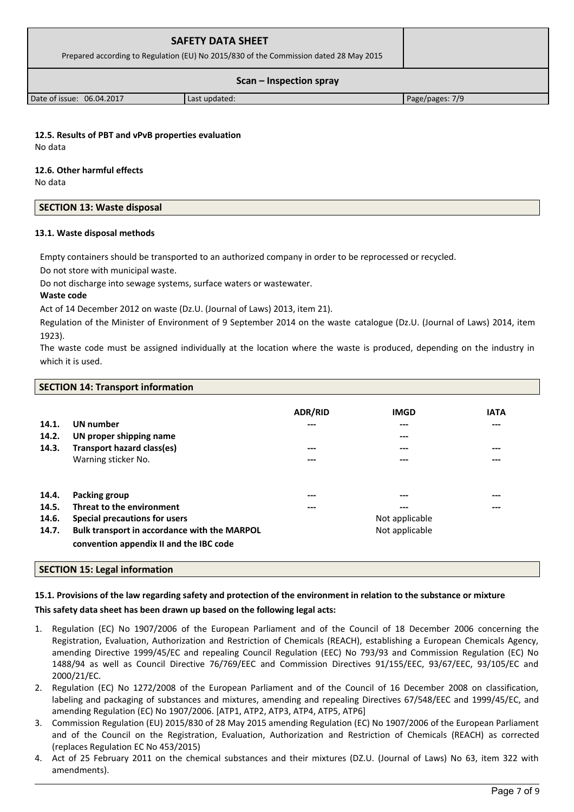| <b>SAFETY DATA SHEET</b><br>Prepared according to Regulation (EU) No 2015/830 of the Commission dated 28 May 2015 |               |                 |
|-------------------------------------------------------------------------------------------------------------------|---------------|-----------------|
| $Scan - Inspection$ spray                                                                                         |               |                 |
| Date of issue: 06.04.2017                                                                                         | Last updated: | Page/pages: 7/9 |

**12.5. Results of PBT and vPvB properties evaluation** No data

## **12.6. Other harmful effects**

No data

| <b>SECTION 13: Waste disposal</b> |
|-----------------------------------|
|-----------------------------------|

## **13.1. Waste disposal methods**

Empty containers should be transported to an authorized company in order to be reprocessed or recycled.

Do not store with municipal waste.

Do not discharge into sewage systems, surface waters or wastewater.

## **Waste code**

Act of 14 December 2012 on waste (Dz.U. (Journal of Laws) 2013, item 21).

Regulation of the Minister of Environment of 9 September 2014 on the waste catalogue (Dz.U. (Journal of Laws) 2014, item 1923).

The waste code must be assigned individually at the location where the waste is produced, depending on the industry in which it is used.

# **SECTION 14: Transport information**

|       |                                              | <b>ADR/RID</b> | <b>IMGD</b> | <b>IATA</b> |
|-------|----------------------------------------------|----------------|-------------|-------------|
| 14.1. | <b>UN</b> number                             | ---            | ---         | ---         |
| 14.2. | UN proper shipping name                      |                | ---         |             |
| 14.3. | Transport hazard class(es)                   | ---            | ---         | ---         |
|       | Warning sticker No.                          | ---            | ---         | ---         |
|       |                                              |                |             |             |
| 14.4. | Packing group                                | ---            | ---         | ---         |
| 14.5. | Threat to the environment                    | ---            | ---         | ---         |
| 14.6. | Special precautions for users                | Not applicable |             |             |
| 14.7. | Bulk transport in accordance with the MARPOL | Not applicable |             |             |
|       | convention appendix II and the IBC code      |                |             |             |

# **SECTION 15: Legal information**

# **15.1. Provisions of the law regarding safety and protection of the environment in relation to the substance or mixture**

# **This safety data sheet has been drawn up based on the following legal acts:**

- 1. Regulation (EC) No 1907/2006 of the European Parliament and of the Council of 18 December 2006 concerning the Registration, Evaluation, Authorization and Restriction of Chemicals (REACH), establishing a European Chemicals Agency, amending Directive 1999/45/EC and repealing Council Regulation (EEC) No 793/93 and Commission Regulation (EC) No 1488/94 as well as Council Directive 76/769/EEC and Commission Directives 91/155/EEC, 93/67/EEC, 93/105/EC and 2000/21/EC.
- 2. Regulation (EC) No 1272/2008 of the European Parliament and of the Council of 16 December 2008 on classification, labeling and packaging of substances and mixtures, amending and repealing Directives 67/548/EEC and 1999/45/EC, and amending Regulation (EC) No 1907/2006. [ATP1, ATP2, ATP3, ATP4, ATP5, ATP6]
- 3. Commission Regulation (EU) 2015/830 of 28 May 2015 amending Regulation (EC) No 1907/2006 of the European Parliament and of the Council on the Registration, Evaluation, Authorization and Restriction of Chemicals (REACH) as corrected (replaces Regulation EC No 453/2015)
- 4. Act of 25 February 2011 on the chemical substances and their mixtures (DZ.U. (Journal of Laws) No 63, item 322 with amendments).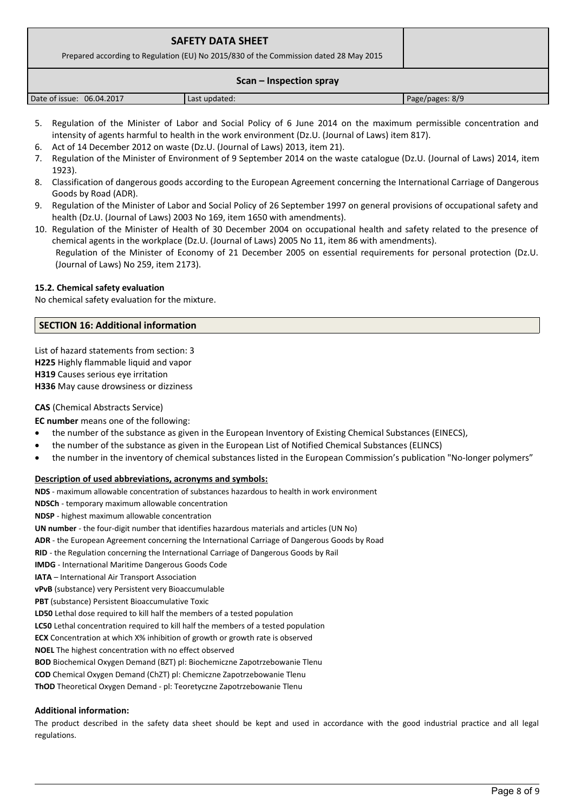| <b>SAFETY DATA SHEET</b><br>Prepared according to Regulation (EU) No 2015/830 of the Commission dated 28 May 2015 |  |  |  |  |
|-------------------------------------------------------------------------------------------------------------------|--|--|--|--|
| Scan – Inspection spray<br>. .<br>$\sim$<br>$\sim$ $\sim$                                                         |  |  |  |  |

| 06.04.2017<br>Date of issue: | Last updated: | Page/pages: 8/9 |
|------------------------------|---------------|-----------------|
|                              |               |                 |

- 5. Regulation of the Minister of Labor and Social Policy of 6 June 2014 on the maximum permissible concentration and intensity of agents harmful to health in the work environment (Dz.U. (Journal of Laws) item 817).
- 6. Act of 14 December 2012 on waste (Dz.U. (Journal of Laws) 2013, item 21).
- 7. Regulation of the Minister of Environment of 9 September 2014 on the waste catalogue (Dz.U. (Journal of Laws) 2014, item 1923).
- 8. Classification of dangerous goods according to the European Agreement concerning the International Carriage of Dangerous Goods by Road (ADR).
- 9. Regulation of the Minister of Labor and Social Policy of 26 September 1997 on general provisions of occupational safety and health (Dz.U. (Journal of Laws) 2003 No 169, item 1650 with amendments).
- 10. Regulation of the Minister of Health of 30 December 2004 on occupational health and safety related to the presence of chemical agents in the workplace (Dz.U. (Journal of Laws) 2005 No 11, item 86 with amendments). Regulation of the Minister of Economy of 21 December 2005 on essential requirements for personal protection (Dz.U. (Journal of Laws) No 259, item 2173).

# **15.2. Chemical safety evaluation**

No chemical safety evaluation for the mixture.

## **SECTION 16: Additional information**

List of hazard statements from section: 3 **H225** Highly flammable liquid and vapor **H319** Causes serious eye irritation **H336** May cause drowsiness or dizziness

# **CAS** (Chemical Abstracts Service)

**EC number** means one of the following:

- the number of the substance as given in the European Inventory of Existing Chemical Substances (EINECS),
- the number of the substance as given in the European List of Notified Chemical Substances (ELINCS)
- the number in the inventory of chemical substances listed in the European Commission's publication "No-longer polymers"

# **Description of used abbreviations, acronyms and symbols:**

**NDS** - maximum allowable concentration of substances hazardous to health in work environment

**NDSCh** - temporary maximum allowable concentration

**NDSP** - highest maximum allowable concentration

**UN number** - the four-digit number that identifies hazardous materials and articles (UN No)

**ADR** - the European Agreement concerning the International Carriage of Dangerous Goods by Road

**RID** - the Regulation concerning the International Carriage of Dangerous Goods by Rail

**IMDG** - International Maritime Dangerous Goods Code

**IATA** – International Air Transport Association

**vPvB** (substance) very Persistent very Bioaccumulable

**PBT** (substance) Persistent Bioaccumulative Toxic

**LD50** Lethal dose required to kill half the members of a tested population

**LC50** Lethal concentration required to kill half the members of a tested population

**ECX** Concentration at which X% inhibition of growth or growth rate is observed

**NOEL** The highest concentration with no effect observed

**BOD** Biochemical Oxygen Demand (BZT) pl: Biochemiczne Zapotrzebowanie Tlenu

**COD** Chemical Oxygen Demand (ChZT) pl: Chemiczne Zapotrzebowanie Tlenu

**ThOD** Theoretical Oxygen Demand - pl: Teoretyczne Zapotrzebowanie Tlenu

### **Additional information:**

The product described in the safety data sheet should be kept and used in accordance with the good industrial practice and all legal regulations.